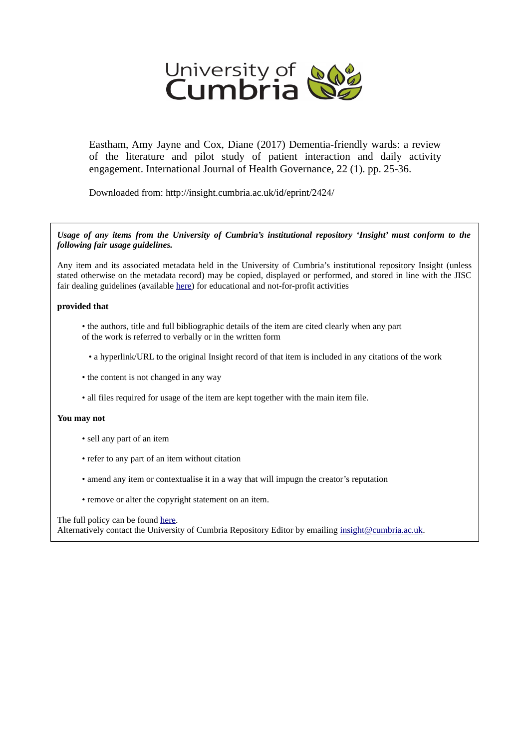

Eastham, Amy Jayne and Cox, Diane (2017) Dementia-friendly wards: a review of the literature and pilot study of patient interaction and daily activity engagement. International Journal of Health Governance, 22 (1). pp. 25-36.

Downloaded from: http://insight.cumbria.ac.uk/id/eprint/2424/

# *Usage of any items from the University of Cumbria's institutional repository 'Insight' must conform to the following fair usage guidelines.*

Any item and its associated metadata held in the University of Cumbria's institutional repository Insight (unless stated otherwise on the metadata record) may be copied, displayed or performed, and stored in line with the JISC fair dealing guidelines (available [here\)](http://www.ukoln.ac.uk/services/elib/papers/pa/fair/) for educational and not-for-profit activities

# **provided that**

- the authors, title and full bibliographic details of the item are cited clearly when any part of the work is referred to verbally or in the written form
	- a hyperlink/URL to the original Insight record of that item is included in any citations of the work
- the content is not changed in any way
- all files required for usage of the item are kept together with the main item file.

# **You may not**

- sell any part of an item
- refer to any part of an item without citation
- amend any item or contextualise it in a way that will impugn the creator's reputation
- remove or alter the copyright statement on an item.

# The full policy can be found [here.](http://insight.cumbria.ac.uk/legal.html#section5)

Alternatively contact the University of Cumbria Repository Editor by emailing [insight@cumbria.ac.uk.](mailto:insight@cumbria.ac.uk)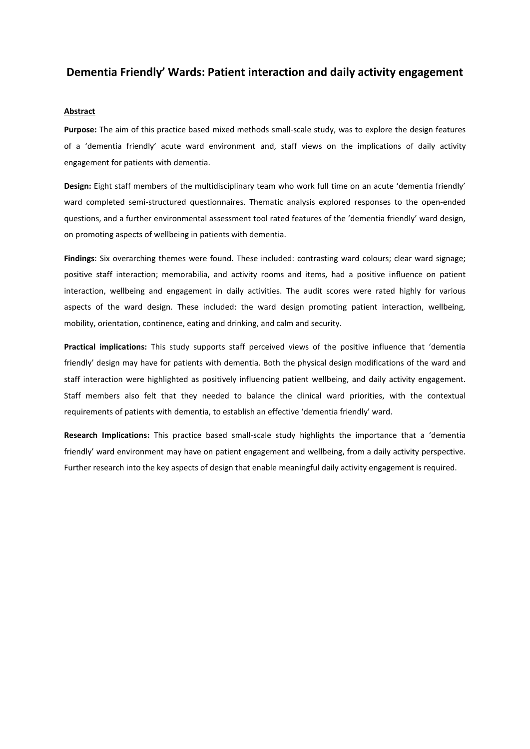# **Dementia Friendly' Wards: Patient interaction and daily activity engagement**

# **Abstract**

**Purpose:** The aim of this practice based mixed methods small-scale study, was to explore the design features of a 'dementia friendly' acute ward environment and, staff views on the implications of daily activity engagement for patients with dementia.

**Design:** Eight staff members of the multidisciplinary team who work full time on an acute 'dementia friendly' ward completed semi-structured questionnaires. Thematic analysis explored responses to the open-ended questions, and a further environmental assessment tool rated features of the 'dementia friendly' ward design, on promoting aspects of wellbeing in patients with dementia.

**Findings**: Six overarching themes were found. These included: contrasting ward colours; clear ward signage; positive staff interaction; memorabilia, and activity rooms and items, had a positive influence on patient interaction, wellbeing and engagement in daily activities. The audit scores were rated highly for various aspects of the ward design. These included: the ward design promoting patient interaction, wellbeing, mobility, orientation, continence, eating and drinking, and calm and security.

**Practical implications:** This study supports staff perceived views of the positive influence that 'dementia friendly' design may have for patients with dementia. Both the physical design modifications of the ward and staff interaction were highlighted as positively influencing patient wellbeing, and daily activity engagement. Staff members also felt that they needed to balance the clinical ward priorities, with the contextual requirements of patients with dementia, to establish an effective 'dementia friendly' ward.

**Research Implications:** This practice based small-scale study highlights the importance that a 'dementia friendly' ward environment may have on patient engagement and wellbeing, from a daily activity perspective. Further research into the key aspects of design that enable meaningful daily activity engagement is required.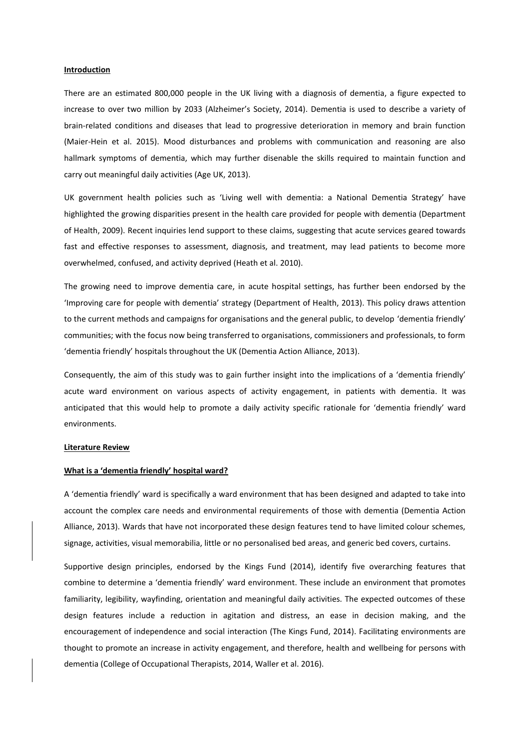#### **Introduction**

There are an estimated 800,000 people in the UK living with a diagnosis of dementia, a figure expected to increase to over two million by 2033 (Alzheimer's Society, 2014). Dementia is used to describe a variety of brain-related conditions and diseases that lead to progressive deterioration in memory and brain function (Maier-Hein et al. 2015). Mood disturbances and problems with communication and reasoning are also hallmark symptoms of dementia, which may further disenable the skills required to maintain function and carry out meaningful daily activities (Age UK, 2013).

UK government health policies such as 'Living well with dementia: a National Dementia Strategy' have highlighted the growing disparities present in the health care provided for people with dementia (Department of Health, 2009). Recent inquiries lend support to these claims, suggesting that acute services geared towards fast and effective responses to assessment, diagnosis, and treatment, may lead patients to become more overwhelmed, confused, and activity deprived (Heath et al. 2010).

The growing need to improve dementia care, in acute hospital settings, has further been endorsed by the 'Improving care for people with dementia' strategy (Department of Health, 2013). This policy draws attention to the current methods and campaigns for organisations and the general public, to develop 'dementia friendly' communities; with the focus now being transferred to organisations, commissioners and professionals, to form 'dementia friendly' hospitals throughout the UK (Dementia Action Alliance, 2013).

Consequently, the aim of this study was to gain further insight into the implications of a 'dementia friendly' acute ward environment on various aspects of activity engagement, in patients with dementia. It was anticipated that this would help to promote a daily activity specific rationale for 'dementia friendly' ward environments.

#### **Literature Review**

#### **What is a 'dementia friendly' hospital ward?**

A 'dementia friendly' ward is specifically a ward environment that has been designed and adapted to take into account the complex care needs and environmental requirements of those with dementia (Dementia Action Alliance, 2013). Wards that have not incorporated these design features tend to have limited colour schemes, signage, activities, visual memorabilia, little or no personalised bed areas, and generic bed covers, curtains.

Supportive design principles, endorsed by the Kings Fund (2014), identify five overarching features that combine to determine a 'dementia friendly' ward environment. These include an environment that promotes familiarity, legibility, wayfinding, orientation and meaningful daily activities. The expected outcomes of these design features include a reduction in agitation and distress, an ease in decision making, and the encouragement of independence and social interaction (The Kings Fund, 2014). Facilitating environments are thought to promote an increase in activity engagement, and therefore, health and wellbeing for persons with dementia (College of Occupational Therapists, 2014, Waller et al. 2016).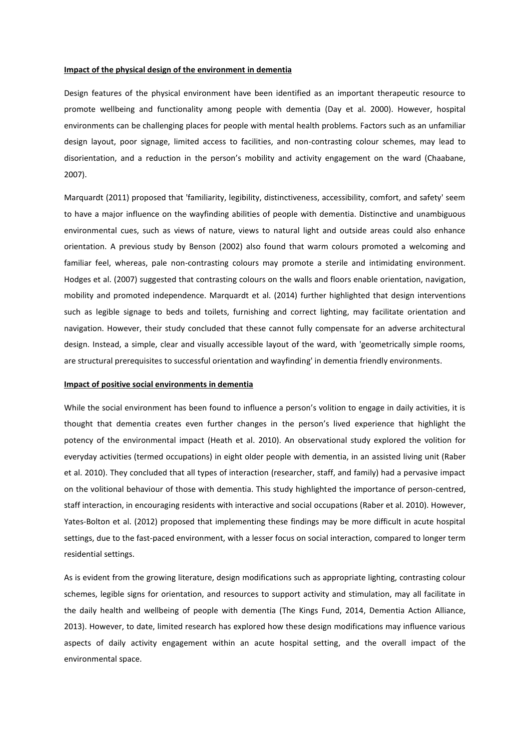## **Impact of the physical design of the environment in dementia**

Design features of the physical environment have been identified as an important therapeutic resource to promote wellbeing and functionality among people with dementia (Day et al. 2000). However, hospital environments can be challenging places for people with mental health problems. Factors such as an unfamiliar design layout, poor signage, limited access to facilities, and non-contrasting colour schemes, may lead to disorientation, and a reduction in the person's mobility and activity engagement on the ward (Chaabane, 2007).

Marquardt (2011) proposed that 'familiarity, legibility, distinctiveness, accessibility, comfort, and safety' seem to have a major influence on the wayfinding abilities of people with dementia. Distinctive and unambiguous environmental cues, such as views of nature, views to natural light and outside areas could also enhance orientation. A previous study by Benson (2002) also found that warm colours promoted a welcoming and familiar feel, whereas, pale non-contrasting colours may promote a sterile and intimidating environment. Hodges et al. (2007) suggested that contrasting colours on the walls and floors enable orientation, navigation, mobility and promoted independence. Marquardt et al. (2014) further highlighted that design interventions such as legible signage to beds and toilets, furnishing and correct lighting, may facilitate orientation and navigation. However, their study concluded that these cannot fully compensate for an adverse architectural design. Instead, a simple, clear and visually accessible layout of the ward, with 'geometrically simple rooms, are structural prerequisites to successful orientation and wayfinding' in dementia friendly environments.

### **Impact of positive social environments in dementia**

While the social environment has been found to influence a person's volition to engage in daily activities, it is thought that dementia creates even further changes in the person's lived experience that highlight the potency of the environmental impact (Heath et al. 2010). An observational study explored the volition for everyday activities (termed occupations) in eight older people with dementia, in an assisted living unit (Raber et al. 2010). They concluded that all types of interaction (researcher, staff, and family) had a pervasive impact on the volitional behaviour of those with dementia. This study highlighted the importance of person-centred, staff interaction, in encouraging residents with interactive and social occupations (Raber et al. 2010). However, Yates-Bolton et al. (2012) proposed that implementing these findings may be more difficult in acute hospital settings, due to the fast-paced environment, with a lesser focus on social interaction, compared to longer term residential settings.

As is evident from the growing literature, design modifications such as appropriate lighting, contrasting colour schemes, legible signs for orientation, and resources to support activity and stimulation, may all facilitate in the daily health and wellbeing of people with dementia (The Kings Fund, 2014, Dementia Action Alliance, 2013). However, to date, limited research has explored how these design modifications may influence various aspects of daily activity engagement within an acute hospital setting, and the overall impact of the environmental space.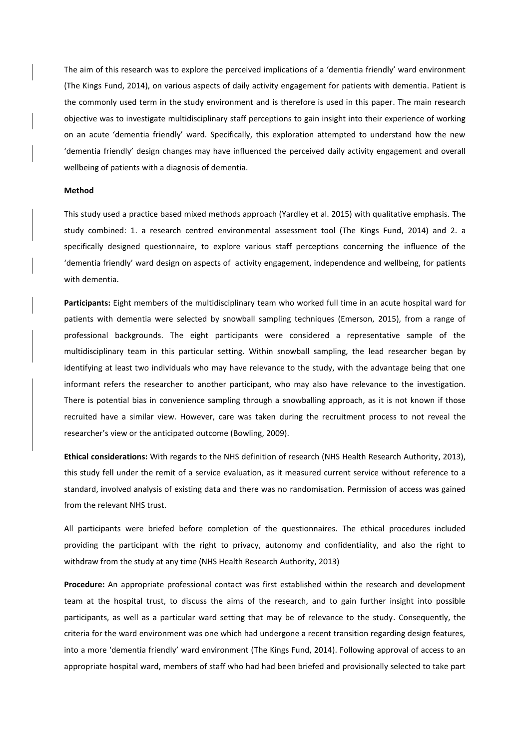The aim of this research was to explore the perceived implications of a 'dementia friendly' ward environment (The Kings Fund, 2014), on various aspects of daily activity engagement for patients with dementia. Patient is the commonly used term in the study environment and is therefore is used in this paper. The main research objective was to investigate multidisciplinary staff perceptions to gain insight into their experience of working on an acute 'dementia friendly' ward. Specifically, this exploration attempted to understand how the new 'dementia friendly' design changes may have influenced the perceived daily activity engagement and overall wellbeing of patients with a diagnosis of dementia.

# **Method**

This study used a practice based mixed methods approach (Yardley et al. 2015) with qualitative emphasis. The study combined: 1. a research centred environmental assessment tool (The Kings Fund, 2014) and 2. a specifically designed questionnaire, to explore various staff perceptions concerning the influence of the 'dementia friendly' ward design on aspects of activity engagement, independence and wellbeing, for patients with dementia.

**Participants:** Eight members of the multidisciplinary team who worked full time in an acute hospital ward for patients with dementia were selected by snowball sampling techniques (Emerson, 2015), from a range of professional backgrounds. The eight participants were considered a representative sample of the multidisciplinary team in this particular setting. Within snowball sampling, the lead researcher began by identifying at least two individuals who may have relevance to the study, with the advantage being that one informant refers the researcher to another participant, who may also have relevance to the investigation. There is potential bias in convenience sampling through a snowballing approach, as it is not known if those recruited have a similar view. However, care was taken during the recruitment process to not reveal the researcher's view or the anticipated outcome (Bowling, 2009).

**Ethical considerations:** With regards to the NHS definition of research (NHS Health Research Authority, 2013), this study fell under the remit of a service evaluation, as it measured current service without reference to a standard, involved analysis of existing data and there was no randomisation. Permission of access was gained from the relevant NHS trust.

All participants were briefed before completion of the questionnaires. The ethical procedures included providing the participant with the right to privacy, autonomy and confidentiality, and also the right to withdraw from the study at any time (NHS Health Research Authority, 2013)

**Procedure:** An appropriate professional contact was first established within the research and development team at the hospital trust, to discuss the aims of the research, and to gain further insight into possible participants, as well as a particular ward setting that may be of relevance to the study. Consequently, the criteria for the ward environment was one which had undergone a recent transition regarding design features, into a more 'dementia friendly' ward environment (The Kings Fund, 2014). Following approval of access to an appropriate hospital ward, members of staff who had had been briefed and provisionally selected to take part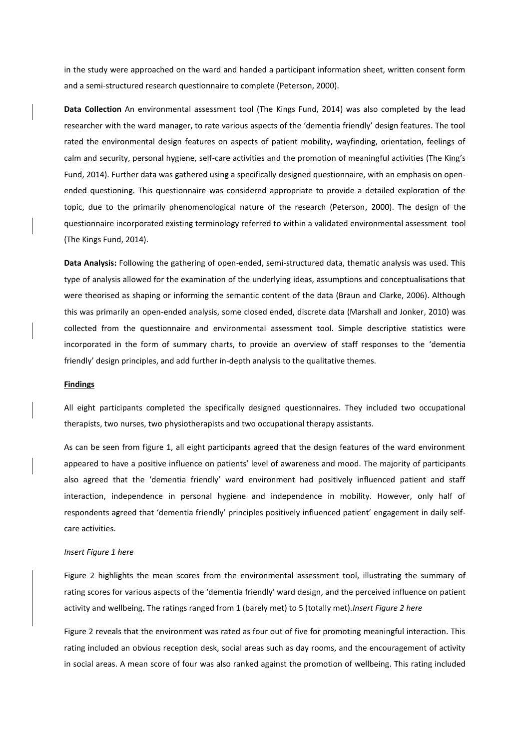in the study were approached on the ward and handed a participant information sheet, written consent form and a semi-structured research questionnaire to complete (Peterson, 2000).

**Data Collection** An environmental assessment tool (The Kings Fund, 2014) was also completed by the lead researcher with the ward manager, to rate various aspects of the 'dementia friendly' design features. The tool rated the environmental design features on aspects of patient mobility, wayfinding, orientation, feelings of calm and security, personal hygiene, self-care activities and the promotion of meaningful activities (The King's Fund, 2014). Further data was gathered using a specifically designed questionnaire, with an emphasis on openended questioning. This questionnaire was considered appropriate to provide a detailed exploration of the topic, due to the primarily phenomenological nature of the research (Peterson, 2000). The design of the questionnaire incorporated existing terminology referred to within a validated environmental assessment tool (The Kings Fund, 2014).

**Data Analysis:** Following the gathering of open-ended, semi-structured data, thematic analysis was used. This type of analysis allowed for the examination of the underlying ideas, assumptions and conceptualisations that were theorised as shaping or informing the semantic content of the data (Braun and Clarke, 2006). Although this was primarily an open-ended analysis, some closed ended, discrete data (Marshall and Jonker, 2010) was collected from the questionnaire and environmental assessment tool. Simple descriptive statistics were incorporated in the form of summary charts, to provide an overview of staff responses to the 'dementia friendly' design principles, and add further in-depth analysis to the qualitative themes.

# **Findings**

All eight participants completed the specifically designed questionnaires. They included two occupational therapists, two nurses, two physiotherapists and two occupational therapy assistants.

As can be seen from figure 1, all eight participants agreed that the design features of the ward environment appeared to have a positive influence on patients' level of awareness and mood. The majority of participants also agreed that the 'dementia friendly' ward environment had positively influenced patient and staff interaction, independence in personal hygiene and independence in mobility. However, only half of respondents agreed that 'dementia friendly' principles positively influenced patient' engagement in daily selfcare activities.

## *Insert Figure 1 here*

Figure 2 highlights the mean scores from the environmental assessment tool, illustrating the summary of rating scores for various aspects of the 'dementia friendly' ward design, and the perceived influence on patient activity and wellbeing. The ratings ranged from 1 (barely met) to 5 (totally met).*Insert Figure 2 here*

Figure 2 reveals that the environment was rated as four out of five for promoting meaningful interaction. This rating included an obvious reception desk, social areas such as day rooms, and the encouragement of activity in social areas. A mean score of four was also ranked against the promotion of wellbeing. This rating included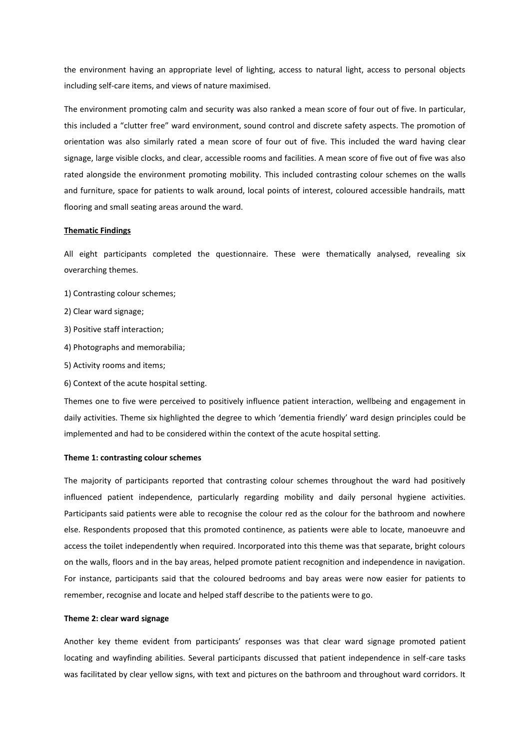the environment having an appropriate level of lighting, access to natural light, access to personal objects including self-care items, and views of nature maximised.

The environment promoting calm and security was also ranked a mean score of four out of five. In particular, this included a "clutter free" ward environment, sound control and discrete safety aspects. The promotion of orientation was also similarly rated a mean score of four out of five. This included the ward having clear signage, large visible clocks, and clear, accessible rooms and facilities. A mean score of five out of five was also rated alongside the environment promoting mobility. This included contrasting colour schemes on the walls and furniture, space for patients to walk around, local points of interest, coloured accessible handrails, matt flooring and small seating areas around the ward.

#### **Thematic Findings**

All eight participants completed the questionnaire. These were thematically analysed, revealing six overarching themes.

- 1) Contrasting colour schemes;
- 2) Clear ward signage;
- 3) Positive staff interaction;
- 4) Photographs and memorabilia;
- 5) Activity rooms and items;
- 6) Context of the acute hospital setting.

Themes one to five were perceived to positively influence patient interaction, wellbeing and engagement in daily activities. Theme six highlighted the degree to which 'dementia friendly' ward design principles could be implemented and had to be considered within the context of the acute hospital setting.

#### **Theme 1: contrasting colour schemes**

The majority of participants reported that contrasting colour schemes throughout the ward had positively influenced patient independence, particularly regarding mobility and daily personal hygiene activities. Participants said patients were able to recognise the colour red as the colour for the bathroom and nowhere else. Respondents proposed that this promoted continence, as patients were able to locate, manoeuvre and access the toilet independently when required. Incorporated into this theme was that separate, bright colours on the walls, floors and in the bay areas, helped promote patient recognition and independence in navigation. For instance, participants said that the coloured bedrooms and bay areas were now easier for patients to remember, recognise and locate and helped staff describe to the patients were to go.

#### **Theme 2: clear ward signage**

Another key theme evident from participants' responses was that clear ward signage promoted patient locating and wayfinding abilities. Several participants discussed that patient independence in self-care tasks was facilitated by clear yellow signs, with text and pictures on the bathroom and throughout ward corridors. It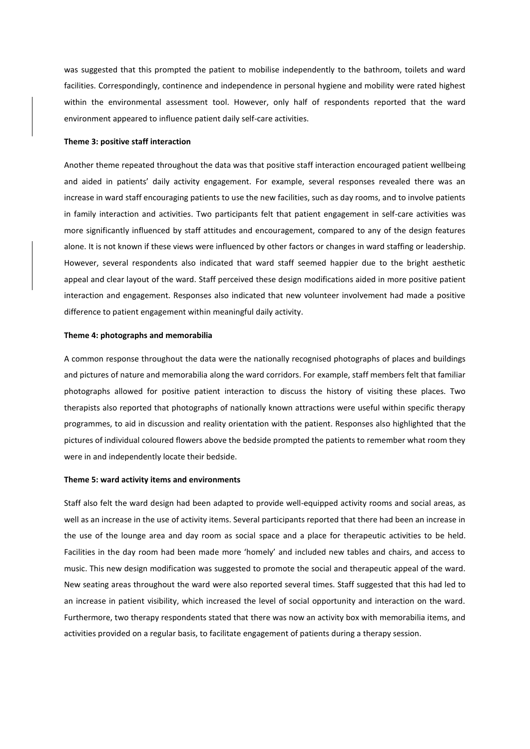was suggested that this prompted the patient to mobilise independently to the bathroom, toilets and ward facilities. Correspondingly, continence and independence in personal hygiene and mobility were rated highest within the environmental assessment tool. However, only half of respondents reported that the ward environment appeared to influence patient daily self-care activities.

#### **Theme 3: positive staff interaction**

Another theme repeated throughout the data was that positive staff interaction encouraged patient wellbeing and aided in patients' daily activity engagement. For example, several responses revealed there was an increase in ward staff encouraging patients to use the new facilities, such as day rooms, and to involve patients in family interaction and activities. Two participants felt that patient engagement in self-care activities was more significantly influenced by staff attitudes and encouragement, compared to any of the design features alone. It is not known if these views were influenced by other factors or changes in ward staffing or leadership. However, several respondents also indicated that ward staff seemed happier due to the bright aesthetic appeal and clear layout of the ward. Staff perceived these design modifications aided in more positive patient interaction and engagement. Responses also indicated that new volunteer involvement had made a positive difference to patient engagement within meaningful daily activity.

## **Theme 4: photographs and memorabilia**

A common response throughout the data were the nationally recognised photographs of places and buildings and pictures of nature and memorabilia along the ward corridors. For example, staff members felt that familiar photographs allowed for positive patient interaction to discuss the history of visiting these places. Two therapists also reported that photographs of nationally known attractions were useful within specific therapy programmes, to aid in discussion and reality orientation with the patient. Responses also highlighted that the pictures of individual coloured flowers above the bedside prompted the patients to remember what room they were in and independently locate their bedside.

#### **Theme 5: ward activity items and environments**

Staff also felt the ward design had been adapted to provide well-equipped activity rooms and social areas, as well as an increase in the use of activity items. Several participants reported that there had been an increase in the use of the lounge area and day room as social space and a place for therapeutic activities to be held. Facilities in the day room had been made more 'homely' and included new tables and chairs, and access to music. This new design modification was suggested to promote the social and therapeutic appeal of the ward. New seating areas throughout the ward were also reported several times. Staff suggested that this had led to an increase in patient visibility, which increased the level of social opportunity and interaction on the ward. Furthermore, two therapy respondents stated that there was now an activity box with memorabilia items, and activities provided on a regular basis, to facilitate engagement of patients during a therapy session.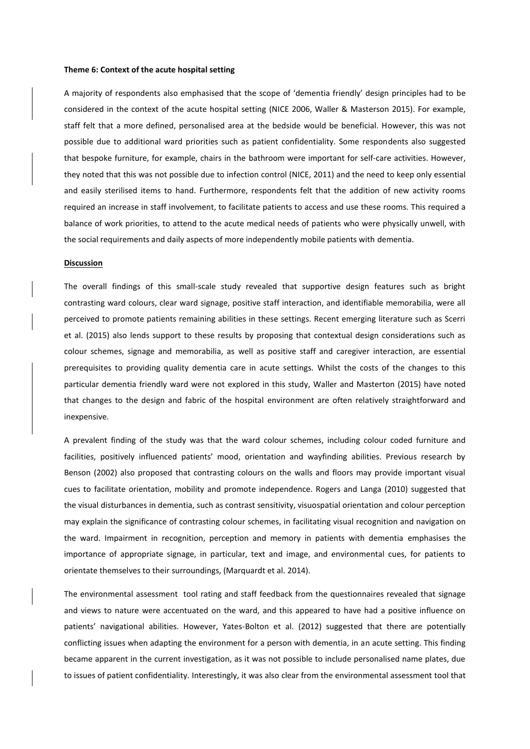#### **Theme 6: Context of the acute hospital setting**

A majority of respondents also emphasised that the scope of 'dementia friendly' design principles had to be considered in the context of the acute hospital setting (NICE 2006, Waller & Masterson 2015). For example, staff felt that a more defined, personalised area at the bedside would be beneficial. However, this was not possible due to additional ward priorities such as patient confidentiality. Some respondents also suggested that bespoke furniture, for example, chairs in the bathroom were important for self-care activities. However, they noted that this was not possible due to infection control (NICE, 2011) and the need to keep only essential and easily sterilised items to hand. Furthermore, respondents felt that the addition of new activity rooms required an increase in staff involvement, to facilitate patients to access and use these rooms. This required a balance of work priorities, to attend to the acute medical needs of patients who were physically unwell, with the social requirements and daily aspects of more independently mobile patients with dementia.

#### **Discussion**

The overall findings of this small-scale study revealed that supportive design features such as bright contrasting ward colours, clear ward signage, positive staff interaction, and identifiable memorabilia, were all perceived to promote patients remaining abilities in these settings. Recent emerging literature such as Scerri et al. (2015) also lends support to these results by proposing that contextual design considerations such as colour schemes, signage and memorabilia, as well as positive staff and caregiver interaction, are essential prerequisites to providing quality dementia care in acute settings. Whilst the costs of the changes to this particular dementia friendly ward were not explored in this study, Waller and Masterton (2015) have noted that changes to the design and fabric of the hospital environment are often relatively straightforward and inexpensive.

A prevalent finding of the study was that the ward colour schemes, including colour coded furniture and facilities, positively influenced patients' mood, orientation and wayfinding abilities. Previous research by Benson (2002) also proposed that contrasting colours on the walls and floors may provide important visual cues to facilitate orientation, mobility and promote independence. Rogers and Langa (2010) suggested that the visual disturbances in dementia, such as contrast sensitivity, visuospatial orientation and colour perception may explain the significance of contrasting colour schemes, in facilitating visual recognition and navigation on the ward. Impairment in recognition, perception and memory in patients with dementia emphasises the importance of appropriate signage, in particular, text and image, and environmental cues, for patients to orientate themselves to their surroundings, (Marquardt et al. 2014).

The environmental assessment tool rating and staff feedback from the questionnaires revealed that signage and views to nature were accentuated on the ward, and this appeared to have had a positive influence on patients' navigational abilities. However, Yates-Bolton et al. (2012) suggested that there are potentially conflicting issues when adapting the environment for a person with dementia, in an acute setting. This finding became apparent in the current investigation, as it was not possible to include personalised name plates, due to issues of patient confidentiality. Interestingly, it was also clear from the environmental assessment tool that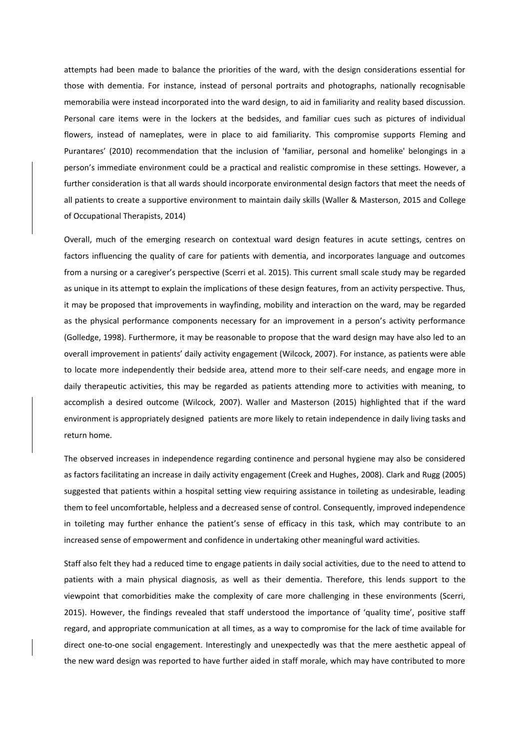attempts had been made to balance the priorities of the ward, with the design considerations essential for those with dementia. For instance, instead of personal portraits and photographs, nationally recognisable memorabilia were instead incorporated into the ward design, to aid in familiarity and reality based discussion. Personal care items were in the lockers at the bedsides, and familiar cues such as pictures of individual flowers, instead of nameplates, were in place to aid familiarity. This compromise supports Fleming and Purantares' (2010) recommendation that the inclusion of 'familiar, personal and homelike' belongings in a person's immediate environment could be a practical and realistic compromise in these settings. However, a further consideration is that all wards should incorporate environmental design factors that meet the needs of all patients to create a supportive environment to maintain daily skills (Waller & Masterson, 2015 and College of Occupational Therapists, 2014)

Overall, much of the emerging research on contextual ward design features in acute settings, centres on factors influencing the quality of care for patients with dementia, and incorporates language and outcomes from a nursing or a caregiver's perspective (Scerri et al. 2015). This current small scale study may be regarded as unique in its attempt to explain the implications of these design features, from an activity perspective. Thus, it may be proposed that improvements in wayfinding, mobility and interaction on the ward, may be regarded as the physical performance components necessary for an improvement in a person's activity performance (Golledge, 1998). Furthermore, it may be reasonable to propose that the ward design may have also led to an overall improvement in patients' daily activity engagement (Wilcock, 2007). For instance, as patients were able to locate more independently their bedside area, attend more to their self-care needs, and engage more in daily therapeutic activities, this may be regarded as patients attending more to activities with meaning, to accomplish a desired outcome (Wilcock, 2007). Waller and Masterson (2015) highlighted that if the ward environment is appropriately designed patients are more likely to retain independence in daily living tasks and return home.

The observed increases in independence regarding continence and personal hygiene may also be considered as factors facilitating an increase in daily activity engagement (Creek and Hughes, 2008). Clark and Rugg (2005) suggested that patients within a hospital setting view requiring assistance in toileting as undesirable, leading them to feel uncomfortable, helpless and a decreased sense of control. Consequently, improved independence in toileting may further enhance the patient's sense of efficacy in this task, which may contribute to an increased sense of empowerment and confidence in undertaking other meaningful ward activities.

Staff also felt they had a reduced time to engage patients in daily social activities, due to the need to attend to patients with a main physical diagnosis, as well as their dementia. Therefore, this lends support to the viewpoint that comorbidities make the complexity of care more challenging in these environments (Scerri, 2015). However, the findings revealed that staff understood the importance of 'quality time', positive staff regard, and appropriate communication at all times, as a way to compromise for the lack of time available for direct one-to-one social engagement. Interestingly and unexpectedly was that the mere aesthetic appeal of the new ward design was reported to have further aided in staff morale, which may have contributed to more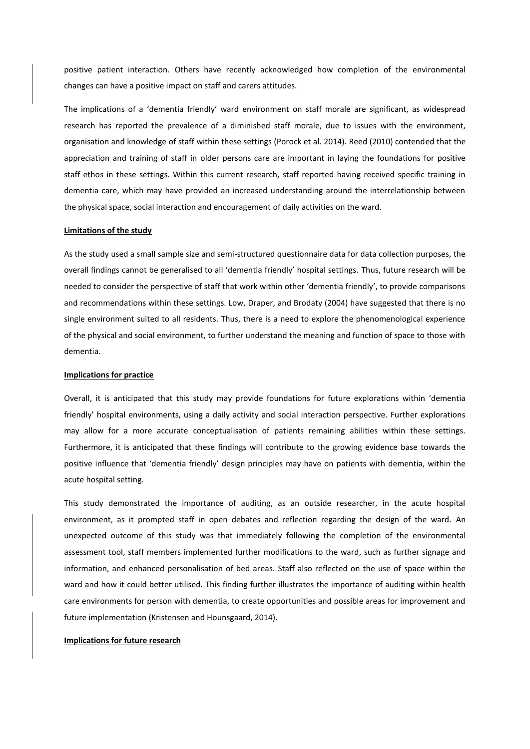positive patient interaction. Others have recently acknowledged how completion of the environmental changes can have a positive impact on staff and carers attitudes.

The implications of a 'dementia friendly' ward environment on staff morale are significant, as widespread research has reported the prevalence of a diminished staff morale, due to issues with the environment, organisation and knowledge of staff within these settings (Porock et al. 2014). Reed (2010) contended that the appreciation and training of staff in older persons care are important in laying the foundations for positive staff ethos in these settings. Within this current research, staff reported having received specific training in dementia care, which may have provided an increased understanding around the interrelationship between the physical space, social interaction and encouragement of daily activities on the ward.

#### **Limitations of the study**

As the study used a small sample size and semi-structured questionnaire data for data collection purposes, the overall findings cannot be generalised to all 'dementia friendly' hospital settings. Thus, future research will be needed to consider the perspective of staff that work within other 'dementia friendly', to provide comparisons and recommendations within these settings. Low, Draper, and Brodaty (2004) have suggested that there is no single environment suited to all residents. Thus, there is a need to explore the phenomenological experience of the physical and social environment, to further understand the meaning and function of space to those with dementia.

#### **Implications for practice**

Overall, it is anticipated that this study may provide foundations for future explorations within 'dementia friendly' hospital environments, using a daily activity and social interaction perspective. Further explorations may allow for a more accurate conceptualisation of patients remaining abilities within these settings. Furthermore, it is anticipated that these findings will contribute to the growing evidence base towards the positive influence that 'dementia friendly' design principles may have on patients with dementia, within the acute hospital setting.

This study demonstrated the importance of auditing, as an outside researcher, in the acute hospital environment, as it prompted staff in open debates and reflection regarding the design of the ward. An unexpected outcome of this study was that immediately following the completion of the environmental assessment tool, staff members implemented further modifications to the ward, such as further signage and information, and enhanced personalisation of bed areas. Staff also reflected on the use of space within the ward and how it could better utilised. This finding further illustrates the importance of auditing within health care environments for person with dementia, to create opportunities and possible areas for improvement and future implementation (Kristensen and Hounsgaard, 2014).

# **Implications for future research**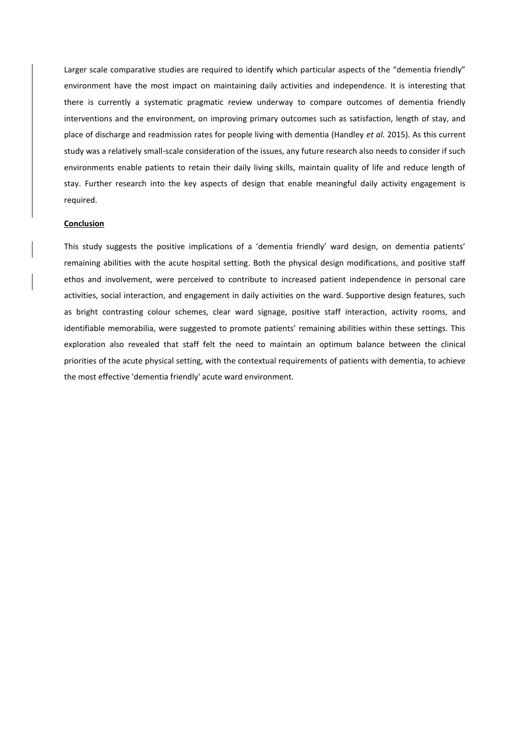Larger scale comparative studies are required to identify which particular aspects of the "dementia friendly" environment have the most impact on maintaining daily activities and independence. It is interesting that there is currently a systematic pragmatic review underway to compare outcomes of dementia friendly interventions and the environment, on improving primary outcomes such as satisfaction, length of stay, and place of discharge and readmission rates for people living with dementia (Handley *et al.* 2015). As this current study was a relatively small-scale consideration of the issues, any future research also needs to consider if such environments enable patients to retain their daily living skills, maintain quality of life and reduce length of stay. Further research into the key aspects of design that enable meaningful daily activity engagement is required.

#### **Conclusion**

This study suggests the positive implications of a 'dementia friendly' ward design, on dementia patients' remaining abilities with the acute hospital setting. Both the physical design modifications, and positive staff ethos and involvement, were perceived to contribute to increased patient independence in personal care activities, social interaction, and engagement in daily activities on the ward. Supportive design features, such as bright contrasting colour schemes, clear ward signage, positive staff interaction, activity rooms, and identifiable memorabilia, were suggested to promote patients' remaining abilities within these settings. This exploration also revealed that staff felt the need to maintain an optimum balance between the clinical priorities of the acute physical setting, with the contextual requirements of patients with dementia, to achieve the most effective 'dementia friendly' acute ward environment.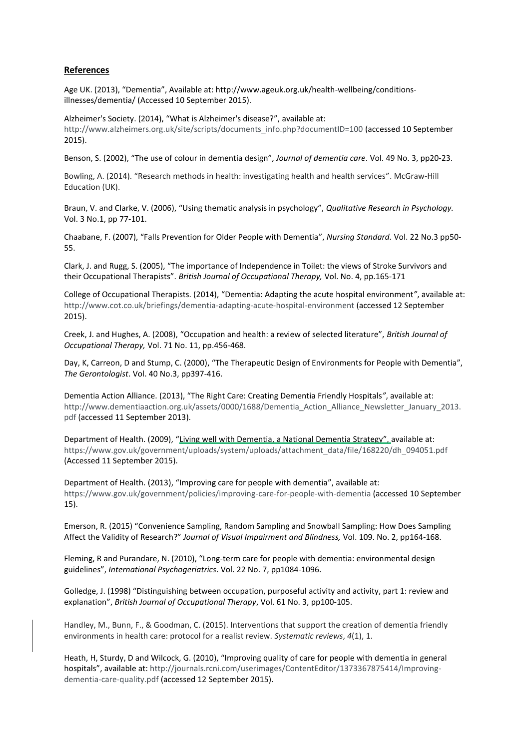# **References**

Age UK. (2013), "Dementia", Available at: [http://www.ageuk.org.uk/health-wellbeing/conditions](http://www.ageuk.org.uk/health-wellbeing/conditions-illnesses/dementia/)[illnesses/dementia/](http://www.ageuk.org.uk/health-wellbeing/conditions-illnesses/dementia/) (Accessed 10 September 2015).

Alzheimer's Society. (2014), "What is Alzheimer's disease?", available at: [http://www.alzheimers.org.uk/site/scripts/documents\\_info.php?documentID=100](http://www.alzheimers.org.uk/site/scripts/documents_info.php?documentID=100) (accessed 10 September 2015).

Benson, S. (2002), "The use of colour in dementia design", *Journal of dementia care*. Vol. 49 No. 3, pp20-23.

Bowling, A. (2014). "Research methods in health: investigating health and health services". McGraw-Hill Education (UK).

Braun, V. and Clarke, V. (2006), "Using thematic analysis in psychology", *Qualitative Research in Psychology.* Vol. 3 No.1, pp 77-101.

Chaabane, F. (2007), "Falls Prevention for Older People with Dementia", *Nursing Standard.* Vol. 22 No.3 pp50- 55.

Clark, J. and Rugg, S. (2005), "The importance of Independence in Toilet: the views of Stroke Survivors and their Occupational Therapists". *British Journal of Occupational Therapy,* Vol. No. 4, pp.165-171

College of Occupational Therapists. (2014), "Dementia: Adapting the acute hospital environment*"*, available at: <http://www.cot.co.uk/briefings/dementia-adapting-acute-hospital-environment> (accessed 12 September 2015).

Creek, J. and Hughes, A. (2008), "Occupation and health: a review of selected literature", *British Journal of Occupational Therapy,* Vol. 71 No. 11, pp.456-468.

Day, K, Carreon, D and Stump, C. (2000), "The Therapeutic Design of Environments for People with Dementia", *The Gerontologist*. Vol. 40 No.3, pp397-416.

Dementia Action Alliance. (2013), "The Right Care: Creating Dementia Friendly Hospitals*"*, available at: [http://www.dementiaaction.org.uk/assets/0000/1688/Dementia\\_Action\\_Alliance\\_Newsletter\\_January\\_2013.](http://www.dementiaaction.org.uk/assets/0000/1688/Dementia_Action_Alliance_Newsletter_January_2013.pdf) [pdf](http://www.dementiaaction.org.uk/assets/0000/1688/Dementia_Action_Alliance_Newsletter_January_2013.pdf) (accessed 11 September 2013).

Department of Health. (2009), "Living well with Dementia, a National Dementia Strategy", available at: [https://www.gov.uk/government/uploads/system/uploads/attachment\\_data/file/168220/dh\\_094051.pdf](https://www.gov.uk/government/uploads/system/uploads/attachment_data/file/168220/dh_094051.pdf) (Accessed 11 September 2015).

Department of Health. (2013), "Improving care for people with dementia", available at: <https://www.gov.uk/government/policies/improving-care-for-people-with-dementia> (accessed 10 September 15).

Emerson, R. (2015) "Convenience Sampling, Random Sampling and Snowball Sampling: How Does Sampling Affect the Validity of Research?" *Journal of Visual Impairment and Blindness,* Vol. 109. No. 2, pp164-168.

Fleming, R and Purandare, N. (2010), "Long-term care for people with dementia: environmental design guidelines", *International Psychogeriatrics*. Vol. 22 No. 7, pp1084-1096.

Golledge, J. (1998) "Distinguishing between occupation, purposeful activity and activity, part 1: review and explanation", *British Journal of Occupational Therapy*, Vol. 61 No. 3, pp100-105.

Handley, M., Bunn, F., & Goodman, C. (2015). Interventions that support the creation of dementia friendly environments in health care: protocol for a realist review. *Systematic reviews*, *4*(1), 1.

Heath, H, Sturdy, D and Wilcock, G. (2010), "Improving quality of care for people with dementia in general hospitals", available at: [http://journals.rcni.com/userimages/ContentEditor/1373367875414/Improving](http://journals.rcni.com/userimages/ContentEditor/1373367875414/Improving-dementia-care-quality.pdf)[dementia-care-quality.pdf](http://journals.rcni.com/userimages/ContentEditor/1373367875414/Improving-dementia-care-quality.pdf) (accessed 12 September 2015).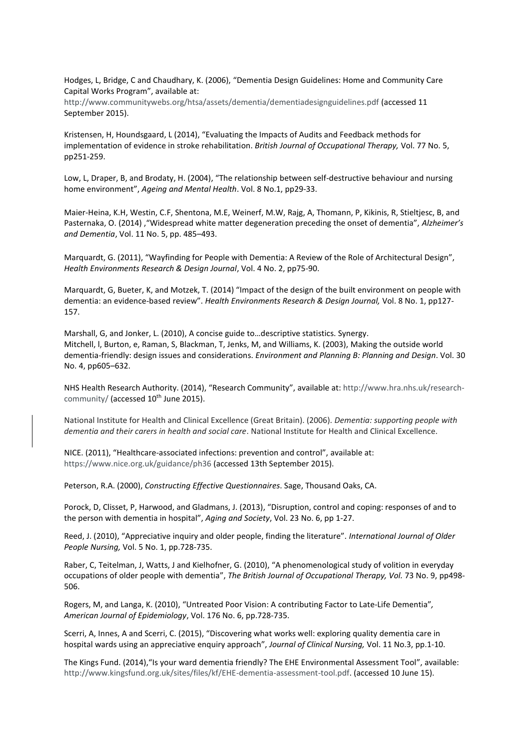Hodges, L, Bridge, C and Chaudhary, K. (2006), "Dementia Design Guidelines: Home and Community Care Capital Works Program", available at:

<http://www.communitywebs.org/htsa/assets/dementia/dementiadesignguidelines.pdf> (accessed 11 September 2015).

Kristensen, H, Houndsgaard, L (2014), "Evaluating the Impacts of Audits and Feedback methods for implementation of evidence in stroke rehabilitation. *British Journal of Occupational Therapy,* Vol. 77 No. 5, pp251-259.

Low, L, Draper, B, and Brodaty, H. (2004), "The relationship between self-destructive behaviour and nursing home environment", *Ageing and Mental Health*. Vol. 8 No.1, pp29-33.

Maier-Heina, K.H, Westin, C.F, Shentona, M.E, Weinerf, M.W, Rajg, A, Thomann, P, Kikinis, R, Stieltjesc, B, and Pasternaka, O. (2014) ,"Widespread white matter degeneration preceding the onset of dementia", *Alzheimer's and Dementia*, Vol. 11 No. 5, pp. 485–493.

Marquardt, G. (2011), "Wayfinding for People with Dementia: A Review of the Role of Architectural Design", *Health Environments Research & Design Journal*, Vol. 4 No. 2, pp75-90.

Marquardt, G, Bueter, K, and Motzek, T. (2014) "Impact of the design of the built environment on people with dementia: an evidence-based review". *Health Environments Research & Design Journal,* Vol. 8 No. 1, pp127- 157.

Marshall, G, and Jonker, L. (2010), A concise guide to…descriptive statistics. Synergy. Mitchell, l, Burton, e, Raman, S, Blackman, T, Jenks, M, and Williams, K. (2003), Making the outside world dementia-friendly: design issues and considerations. *Environment and Planning B: Planning and Design*. Vol. 30 No. 4, pp605–632.

NHS Health Research Authority. (2014), "Research Community", available at: [http://www.hra.nhs.uk/research](http://www.hra.nhs.uk/research-community/)[community/](http://www.hra.nhs.uk/research-community/) (accessed 10<sup>th</sup> June 2015).

National Institute for Health and Clinical Excellence (Great Britain). (2006). *Dementia: supporting people with dementia and their carers in health and social care*. National Institute for Health and Clinical Excellence.

NICE. (2011), "Healthcare-associated infections: prevention and control", available at: <https://www.nice.org.uk/guidance/ph36> (accessed 13th September 2015).

Peterson, R.A. (2000), *Constructing Effective Questionnaires*. Sage, Thousand Oaks, CA.

Porock, D, Clisset, P, Harwood, and Gladmans, J. (2013), "Disruption, control and coping: responses of and to the person with dementia in hospital", *Aging and Society*, Vol. 23 No. 6, pp 1-27.

Reed, J. (2010), "Appreciative inquiry and older people, finding the literature". *International Journal of Older People Nursing,* Vol. 5 No. 1, pp.728-735.

Raber, C, Teitelman, J, Watts, J and Kielhofner, G. (2010), "A phenomenological study of volition in everyday occupations of older people with dementia", *The British Journal of Occupational Therapy, Vol.* 73 No. 9, pp498- 506.

Rogers, M, and Langa, K. (2010), "Untreated Poor Vision: A contributing Factor to Late-Life Dementia"*, American Journal of Epidemiology*, Vol. 176 No. 6, pp.728-735.

Scerri, A, Innes, A and Scerri, C. (2015), "Discovering what works well: exploring quality dementia care in hospital wards using an appreciative enquiry approach", *Journal of Clinical Nursing,* Vol. 11 No.3, pp.1-10.

The Kings Fund. (2014),"Is your ward dementia friendly? The EHE Environmental Assessment Tool", available: [http://www.kingsfund.org.uk/sites/files/kf/EHE-dementia-assessment-tool.pdf.](http://www.kingsfund.org.uk/sites/files/kf/EHE-dementia-assessment-tool.pdf) (accessed 10 June 15).